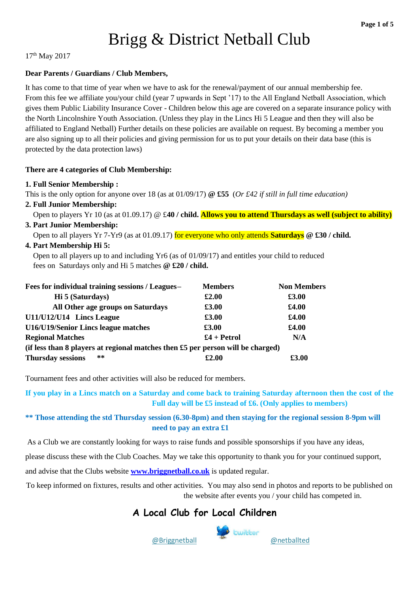# Brigg & District Netball Club

17th May 2017

#### **Dear Parents / Guardians / Club Members,**

It has come to that time of year when we have to ask for the renewal/payment of our annual membership fee. From this fee we affiliate you/your child (year 7 upwards in Sept '17) to the All England Netball Association, which gives them Public Liability Insurance Cover - Children below this age are covered on a separate insurance policy with the North Lincolnshire Youth Association. (Unless they play in the Lincs Hi 5 League and then they will also be affiliated to England Netball) Further details on these policies are available on request. By becoming a member you are also signing up to all their policies and giving permission for us to put your details on their data base (this is protected by the data protection laws)

#### **There are 4 categories of Club Membership:**

#### **1. Full Senior Membership :**

This is the only option for anyone over 18 (as at 01/09/17) **@ £55** (*Or £42 if still in full time education)*

#### **2. Full Junior Membership:**

Open to players Yr 10 (as at 01.09.17) @ £**40 / child. Allows you to attend Thursdays as well (subject to ability)** 

### **3. Part Junior Membership:**

Open to all players Yr 7-Yr9 (as at 01.09.17) for everyone who only attends **Saturdays @ £30 / child.**

#### **4. Part Membership Hi 5:**

 Open to all players up to and including Yr6 (as of 01/09/17) and entitles your child to reduced fees on Saturdays only and Hi 5 matches **@ £20 / child.**

| Fees for individual training sessions / Leagues-                                | <b>Members</b> | <b>Non Members</b> |  |
|---------------------------------------------------------------------------------|----------------|--------------------|--|
| Hi 5 (Saturdays)                                                                | £2.00          | £3.00              |  |
| All Other age groups on Saturdays                                               | £3.00          | £4.00              |  |
| U11/U12/U14 Lincs League                                                        | £3.00          | £4.00              |  |
| U16/U19/Senior Lincs league matches                                             | £3.00          | £4.00              |  |
| <b>Regional Matches</b>                                                         | $£4 + Petrol$  | N/A                |  |
| (if less than 8 players at regional matches then £5 per person will be charged) |                |                    |  |
| $* *$<br><b>Thursday sessions</b>                                               | £2.00          | £3.00              |  |

Tournament fees and other activities will also be reduced for members.

**If you play in a Lincs match on a Saturday and come back to training Saturday afternoon then the cost of the Full day will be £5 instead of £6. (Only applies to members)**

#### **\*\* Those attending the std Thursday session (6.30-8pm) and then staying for the regional session 8-9pm will need to pay an extra £1**

As a Club we are constantly looking for ways to raise funds and possible sponsorships if you have any ideas,

please discuss these with the Club Coaches. May we take this opportunity to thank you for your continued support,

and advise that the Clubs website **[www.briggnetball.co.uk](http://www.briggnetball.co.uk/)** is updated regular.

To keep informed on fixtures, results and other activities. You may also send in photos and reports to be published on the website after events you / your child has competed in.

## **A Local Club for Local Children**

@Briggnetball[@netballted](https://twitter.com/netballted)



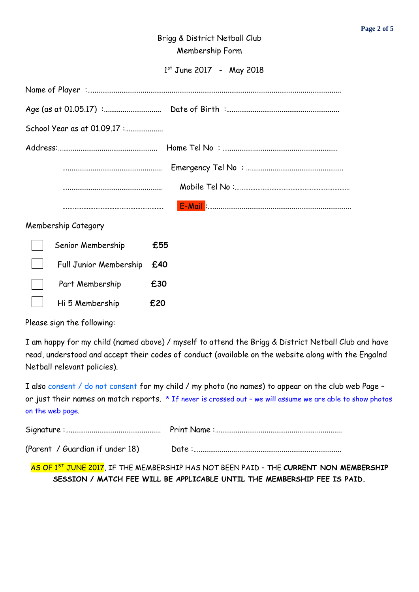## Brigg & District Netball Club Membership Form

1 st June 2017 - May 2018

| School Year as at 01.09.17 : |     |  |
|------------------------------|-----|--|
|                              |     |  |
|                              |     |  |
|                              |     |  |
|                              |     |  |
| Membership Category          |     |  |
| Senior Membership            | £55 |  |
| Full Junior Membership       | £40 |  |
| Part Membership              | £30 |  |
| Hi 5 Membership              | £20 |  |

Please sign the following:

I am happy for my child (named above) / myself to attend the Brigg & District Netball Club and have read, understood and accept their codes of conduct (available on the website along with the Engalnd Netball relevant policies).

I also consent / do not consent for my child / my photo (no names) to appear on the club web Page – or just their names on match reports. \* If never is crossed out – we will assume we are able to show photos on the web page.

(Parent / Guardian if under 18) Date :…..........................................................................

AS OF 1ST JUNE 2017, IF THE MEMBERSHIP HAS NOT BEEN PAID – THE **CURRENT NON MEMBERSHIP SESSION / MATCH FEE WILL BE APPLICABLE UNTIL THE MEMBERSHIP FEE IS PAID.**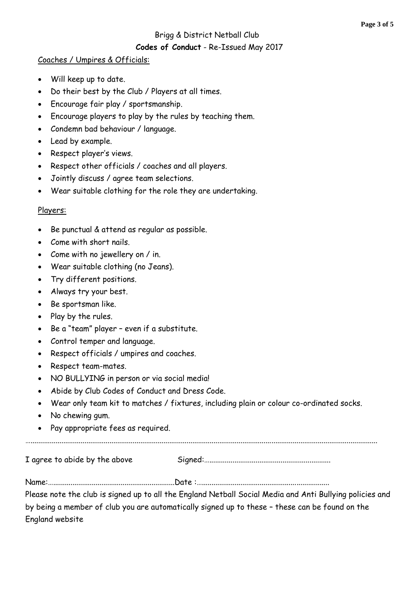#### Brigg & District Netball Club

#### **Codes of Conduct** - Re-Issued May 2017

#### Coaches / Umpires & Officials:

- Will keep up to date.
- Do their best by the Club / Players at all times.
- Encourage fair play / sportsmanship.
- Encourage players to play by the rules by teaching them.
- Condemn bad behaviour / language.
- Lead by example.
- Respect player's views.
- Respect other officials / coaches and all players.
- Jointly discuss / agree team selections.
- Wear suitable clothing for the role they are undertaking.

#### Players:

- Be punctual & attend as regular as possible.
- Come with short nails.
- Come with no jewellery on / in.
- Wear suitable clothing (no Jeans).
- Try different positions.
- Always try your best.
- Be sportsman like.
- Play by the rules.
- Be a "team" player even if a substitute.
- Control temper and language.
- Respect officials / umpires and coaches.
- Respect team-mates.
- NO BULLYING in person or via social media!
- Abide by Club Codes of Conduct and Dress Code.
- Wear only team kit to matches / fixtures, including plain or colour co-ordinated socks.
- No chewing gum.
- Pay appropriate fees as required.

…....................................................................................................................................................................................

I agree to abide by the above Signed:…...............................................................

Name:…...............................................................Date :…..................................................................

Please note the club is signed up to all the England Netball Social Media and Anti Bullying policies and by being a member of club you are automatically signed up to these – these can be found on the England website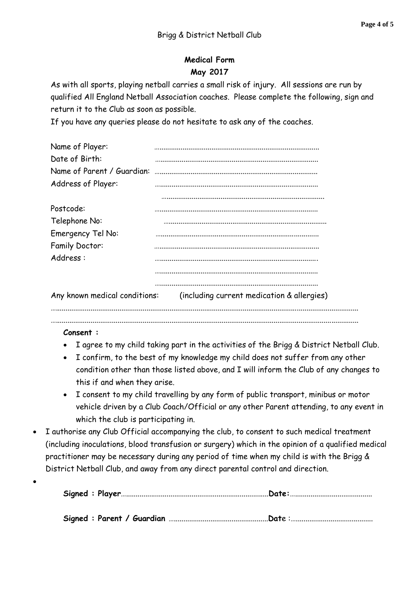## **Medical Form May 2017**

As with all sports, playing netball carries a small risk of injury. All sessions are run by qualified All England Netball Association coaches. Please complete the following, sign and return it to the Club as soon as possible.

If you have any queries please do not hesitate to ask any of the coaches.

| Name of Player:               |                                            |
|-------------------------------|--------------------------------------------|
| Date of Birth:                |                                            |
| Name of Parent / Guardian:    |                                            |
| Address of Player:            |                                            |
|                               |                                            |
| Postcode:                     |                                            |
| Telephone No:                 |                                            |
| Emergency Tel No:             |                                            |
| <b>Family Doctor:</b>         |                                            |
| Address:                      |                                            |
|                               |                                            |
| Any known medical conditions: | (including current medication & allergies) |
|                               |                                            |

#### **Consent :**

• I agree to my child taking part in the activities of the Brigg & District Netball Club.

….............................................................................................................................................................

- I confirm, to the best of my knowledge my child does not suffer from any other condition other than those listed above, and I will inform the Club of any changes to this if and when they arise.
- I consent to my child travelling by any form of public transport, minibus or motor vehicle driven by a Club Coach/Official or any other Parent attending, to any event in which the club is participating in.
- I authorise any Club Official accompanying the club, to consent to such medical treatment (including inoculations, blood transfusion or surgery) which in the opinion of a qualified medical practitioner may be necessary during any period of time when my child is with the Brigg & District Netball Club, and away from any direct parental control and direction.
- $\bullet$